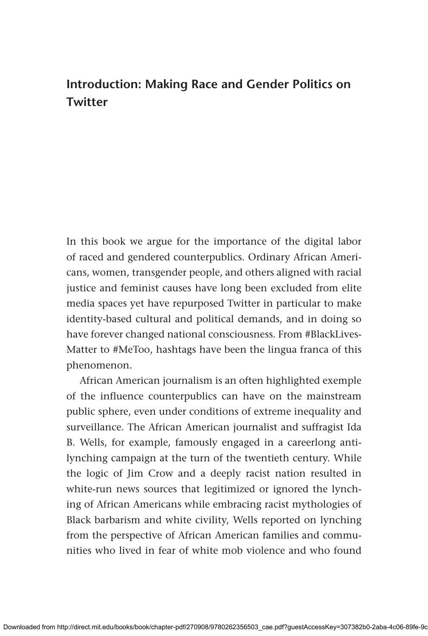# **Introduction: Making Race and Gender Politics on Twitter**

In this book we argue for the importance of the digital labor of raced and gendered counterpublics. Ordinary African Americans, women, transgender people, and others aligned with racial justice and feminist causes have long been excluded from elite media spaces yet have repurposed Twitter in particular to make identity-based cultural and political demands, and in doing so have forever changed national consciousness. From #BlackLives-Matter to #MeToo, hashtags have been the lingua franca of this phenomenon.

African American journalism is an often highlighted exemple of the influence counterpublics can have on the mainstream public sphere, even under conditions of extreme inequality and surveillance. The African American journalist and suffragist Ida B. Wells, for example, famously engaged in a careerlong antilynching campaign at the turn of the twentieth century. While the logic of Jim Crow and a deeply racist nation resulted in white-run news sources that legitimized or ignored the lynching of African Americans while embracing racist mythologies of Black barbarism and white civility, Wells reported on lynching from the perspective of African American families and communities who lived in fear of white mob violence and who found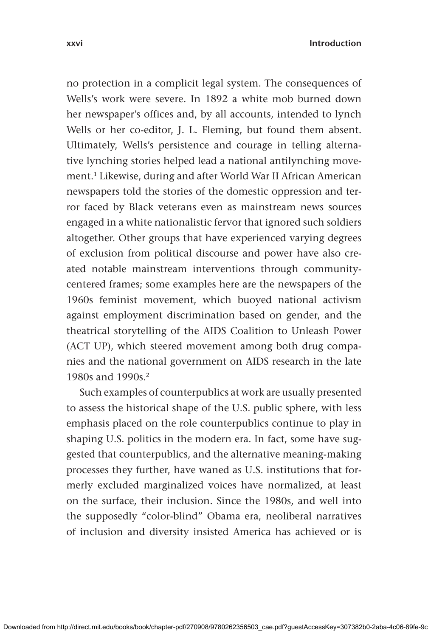**xxvi Introduction**

no protection in a complicit legal system. The consequences of Wells's work were severe. In 1892 a white mob burned down her newspaper's offices and, by all accounts, intended to lynch Wells or her co-editor, J. L. Fleming, but found them absent. Ultimately, Wells's persistence and courage in telling alternative lynching stories helped lead a national antilynching movement.1 Likewise, during and after World War II African American newspapers told the stories of the domestic oppression and terror faced by Black veterans even as mainstream news sources engaged in a white nationalistic fervor that ignored such soldiers altogether. Other groups that have experienced varying degrees of exclusion from political discourse and power have also created notable mainstream interventions through communitycentered frames; some examples here are the newspapers of the 1960s feminist movement, which buoyed national activism against employment discrimination based on gender, and the theatrical storytelling of the AIDS Coalition to Unleash Power (ACT UP), which steered movement among both drug companies and the national government on AIDS research in the late 1980s and 1990s.2

Such examples of counterpublics at work are usually presented to assess the historical shape of the U.S. public sphere, with less emphasis placed on the role counterpublics continue to play in shaping U.S. politics in the modern era. In fact, some have suggested that counterpublics, and the alternative meaning-making processes they further, have waned as U.S. institutions that formerly excluded marginalized voices have normalized, at least on the surface, their inclusion. Since the 1980s, and well into the supposedly "color-blind" Obama era, neoliberal narratives of inclusion and diversity insisted America has achieved or is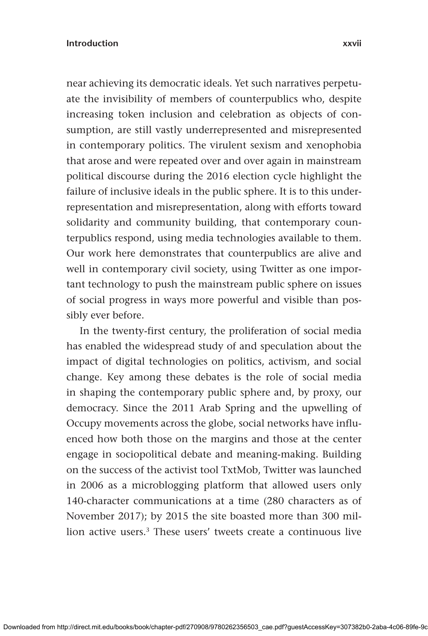#### **Introduction xxvii**

near achieving its democratic ideals. Yet such narratives perpetuate the invisibility of members of counterpublics who, despite increasing token inclusion and celebration as objects of consumption, are still vastly underrepresented and misrepresented in contemporary politics. The virulent sexism and xenophobia that arose and were repeated over and over again in mainstream political discourse during the 2016 election cycle highlight the failure of inclusive ideals in the public sphere. It is to this underrepresentation and misrepresentation, along with efforts toward solidarity and community building, that contemporary counterpublics respond, using media technologies available to them. Our work here demonstrates that counterpublics are alive and well in contemporary civil society, using Twitter as one important technology to push the mainstream public sphere on issues of social progress in ways more powerful and visible than possibly ever before.

In the twenty-first century, the proliferation of social media has enabled the widespread study of and speculation about the impact of digital technologies on politics, activism, and social change. Key among these debates is the role of social media in shaping the contemporary public sphere and, by proxy, our democracy. Since the 2011 Arab Spring and the upwelling of Occupy movements across the globe, social networks have influenced how both those on the margins and those at the center engage in sociopolitical debate and meaning-making. Building on the success of the activist tool TxtMob, Twitter was launched in 2006 as a microblogging platform that allowed users only 140-character communications at a time (280 characters as of November 2017); by 2015 the site boasted more than 300 million active users.<sup>3</sup> These users' tweets create a continuous live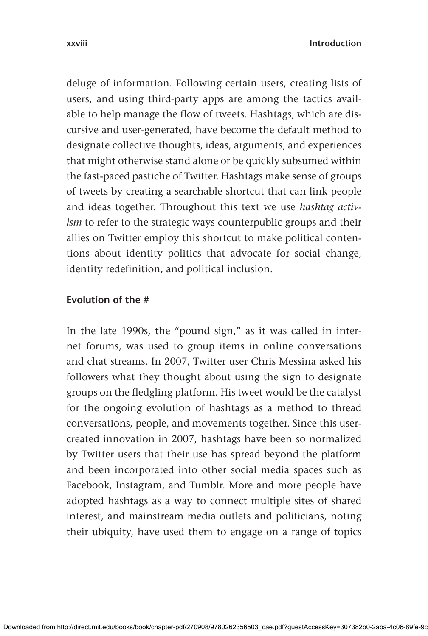**xxviii Introduction**

deluge of information. Following certain users, creating lists of users, and using third-party apps are among the tactics available to help manage the flow of tweets. Hashtags, which are discursive and user-generated, have become the default method to designate collective thoughts, ideas, arguments, and experiences that might otherwise stand alone or be quickly subsumed within the fast-paced pastiche of Twitter. Hashtags make sense of groups of tweets by creating a searchable shortcut that can link people and ideas together. Throughout this text we use *hashtag activism* to refer to the strategic ways counterpublic groups and their allies on Twitter employ this shortcut to make political contentions about identity politics that advocate for social change, identity redefinition, and political inclusion.

## **Evolution of the #**

In the late 1990s, the "pound sign," as it was called in internet forums, was used to group items in online conversations and chat streams. In 2007, Twitter user Chris Messina asked his followers what they thought about using the sign to designate groups on the fledgling platform. His tweet would be the catalyst for the ongoing evolution of hashtags as a method to thread conversations, people, and movements together. Since this usercreated innovation in 2007, hashtags have been so normalized by Twitter users that their use has spread beyond the platform and been incorporated into other social media spaces such as Facebook, Instagram, and Tumblr. More and more people have adopted hashtags as a way to connect multiple sites of shared interest, and mainstream media outlets and politicians, noting their ubiquity, have used them to engage on a range of topics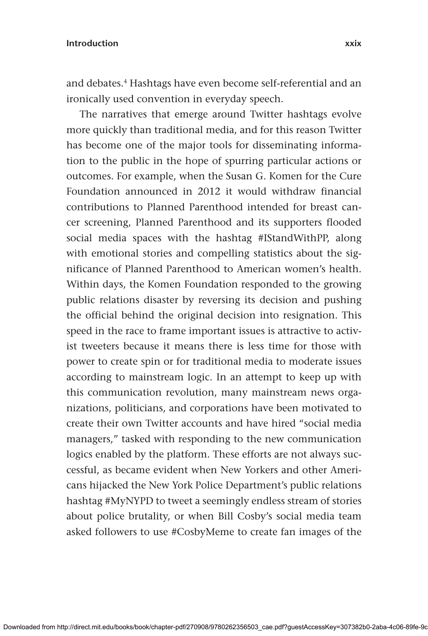#### **Introduction xxix**

and debates.<sup>4</sup> Hashtags have even become self-referential and an ironically used convention in everyday speech.

The narratives that emerge around Twitter hashtags evolve more quickly than traditional media, and for this reason Twitter has become one of the major tools for disseminating information to the public in the hope of spurring particular actions or outcomes. For example, when the Susan G. Komen for the Cure Foundation announced in 2012 it would withdraw financial contributions to Planned Parenthood intended for breast cancer screening, Planned Parenthood and its supporters flooded social media spaces with the hashtag #IStandWithPP, along with emotional stories and compelling statistics about the significance of Planned Parenthood to American women's health. Within days, the Komen Foundation responded to the growing public relations disaster by reversing its decision and pushing the official behind the original decision into resignation. This speed in the race to frame important issues is attractive to activist tweeters because it means there is less time for those with power to create spin or for traditional media to moderate issues according to mainstream logic. In an attempt to keep up with this communication revolution, many mainstream news organizations, politicians, and corporations have been motivated to create their own Twitter accounts and have hired "social media managers," tasked with responding to the new communication logics enabled by the platform. These efforts are not always successful, as became evident when New Yorkers and other Americans hijacked the New York Police Department's public relations hashtag #MyNYPD to tweet a seemingly endless stream of stories about police brutality, or when Bill Cosby's social media team asked followers to use #CosbyMeme to create fan images of the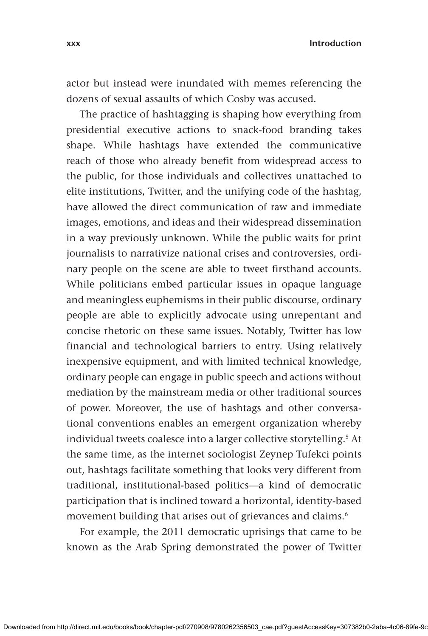**xxx Introduction**

actor but instead were inundated with memes referencing the dozens of sexual assaults of which Cosby was accused.

The practice of hashtagging is shaping how everything from presidential executive actions to snack-food branding takes shape. While hashtags have extended the communicative reach of those who already benefit from widespread access to the public, for those individuals and collectives unattached to elite institutions, Twitter, and the unifying code of the hashtag, have allowed the direct communication of raw and immediate images, emotions, and ideas and their widespread dissemination in a way previously unknown. While the public waits for print journalists to narrativize national crises and controversies, ordinary people on the scene are able to tweet firsthand accounts. While politicians embed particular issues in opaque language and meaningless euphemisms in their public discourse, ordinary people are able to explicitly advocate using unrepentant and concise rhetoric on these same issues. Notably, Twitter has low financial and technological barriers to entry. Using relatively inexpensive equipment, and with limited technical knowledge, ordinary people can engage in public speech and actions without mediation by the mainstream media or other traditional sources of power. Moreover, the use of hashtags and other conversational conventions enables an emergent organization whereby individual tweets coalesce into a larger collective storytelling.<sup>5</sup> At the same time, as the internet sociologist Zeynep Tufekci points out, hashtags facilitate something that looks very different from traditional, institutional-based politics—a kind of democratic participation that is inclined toward a horizontal, identity-based movement building that arises out of grievances and claims.<sup>6</sup>

For example, the 2011 democratic uprisings that came to be known as the Arab Spring demonstrated the power of Twitter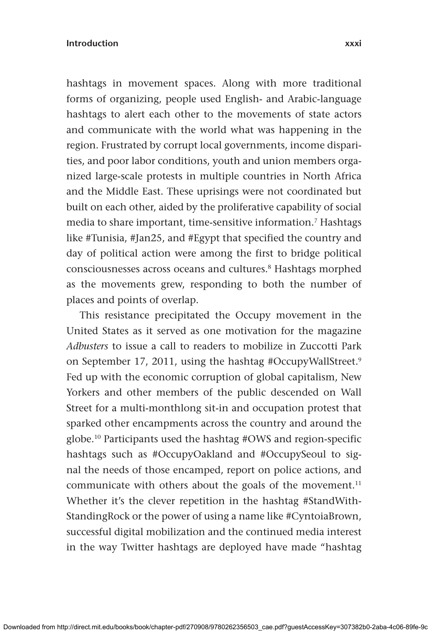#### **Introduction xxxi**

hashtags in movement spaces. Along with more traditional forms of organizing, people used English- and Arabic-language hashtags to alert each other to the movements of state actors and communicate with the world what was happening in the region. Frustrated by corrupt local governments, income disparities, and poor labor conditions, youth and union members organized large-scale protests in multiple countries in North Africa and the Middle East. These uprisings were not coordinated but built on each other, aided by the proliferative capability of social media to share important, time-sensitive information.<sup>7</sup> Hashtags like #Tunisia, #Jan25, and #Egypt that specified the country and day of political action were among the first to bridge political consciousnesses across oceans and cultures.8 Hashtags morphed as the movements grew, responding to both the number of places and points of overlap.

This resistance precipitated the Occupy movement in the United States as it served as one motivation for the magazine *Adbusters* to issue a call to readers to mobilize in Zuccotti Park on September 17, 2011, using the hashtag #OccupyWallStreet.<sup>9</sup> Fed up with the economic corruption of global capitalism, New Yorkers and other members of the public descended on Wall Street for a multi-monthlong sit-in and occupation protest that sparked other encampments across the country and around the globe.10 Participants used the hashtag #OWS and region-specific hashtags such as #OccupyOakland and #OccupySeoul to signal the needs of those encamped, report on police actions, and communicate with others about the goals of the movement.<sup>11</sup> Whether it's the clever repetition in the hashtag #StandWith-StandingRock or the power of using a name like #CyntoiaBrown, successful digital mobilization and the continued media interest in the way Twitter hashtags are deployed have made "hashtag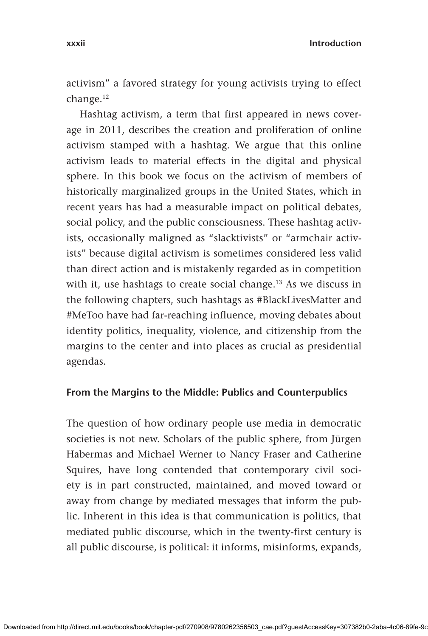**xxxii Introduction**

activism" a favored strategy for young activists trying to effect change.12

Hashtag activism, a term that first appeared in news coverage in 2011, describes the creation and proliferation of online activism stamped with a hashtag. We argue that this online activism leads to material effects in the digital and physical sphere. In this book we focus on the activism of members of historically marginalized groups in the United States, which in recent years has had a measurable impact on political debates, social policy, and the public consciousness. These hashtag activists, occasionally maligned as "slacktivists" or "armchair activists" because digital activism is sometimes considered less valid than direct action and is mistakenly regarded as in competition with it, use hashtags to create social change.<sup>13</sup> As we discuss in the following chapters, such hashtags as #BlackLivesMatter and #MeToo have had far-reaching influence, moving debates about identity politics, inequality, violence, and citizenship from the margins to the center and into places as crucial as presidential agendas.

## **From the Margins to the Middle: Publics and Counterpublics**

The question of how ordinary people use media in democratic societies is not new. Scholars of the public sphere, from Jürgen Habermas and Michael Werner to Nancy Fraser and Catherine Squires, have long contended that contemporary civil society is in part constructed, maintained, and moved toward or away from change by mediated messages that inform the public. Inherent in this idea is that communication is politics, that mediated public discourse, which in the twenty-first century is all public discourse, is political: it informs, misinforms, expands,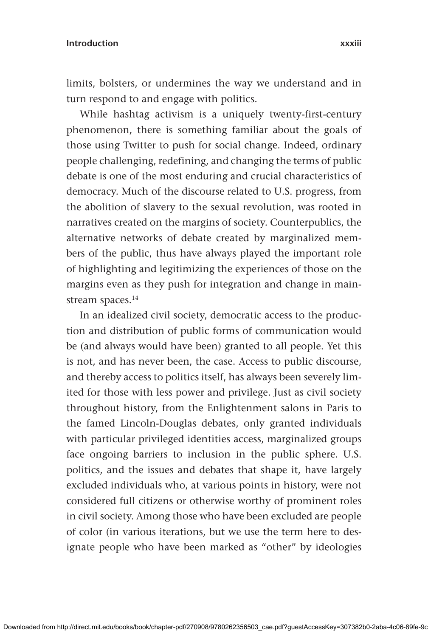#### **Introduction xxxiii**

limits, bolsters, or undermines the way we understand and in turn respond to and engage with politics.

While hashtag activism is a uniquely twenty-first-century phenomenon, there is something familiar about the goals of those using Twitter to push for social change. Indeed, ordinary people challenging, redefining, and changing the terms of public debate is one of the most enduring and crucial characteristics of democracy. Much of the discourse related to U.S. progress, from the abolition of slavery to the sexual revolution, was rooted in narratives created on the margins of society. Counterpublics, the alternative networks of debate created by marginalized members of the public, thus have always played the important role of highlighting and legitimizing the experiences of those on the margins even as they push for integration and change in mainstream spaces.<sup>14</sup>

In an idealized civil society, democratic access to the production and distribution of public forms of communication would be (and always would have been) granted to all people. Yet this is not, and has never been, the case. Access to public discourse, and thereby access to politics itself, has always been severely limited for those with less power and privilege. Just as civil society throughout history, from the Enlightenment salons in Paris to the famed Lincoln-Douglas debates, only granted individuals with particular privileged identities access, marginalized groups face ongoing barriers to inclusion in the public sphere. U.S. politics, and the issues and debates that shape it, have largely excluded individuals who, at various points in history, were not considered full citizens or otherwise worthy of prominent roles in civil society. Among those who have been excluded are people of color (in various iterations, but we use the term here to designate people who have been marked as "other" by ideologies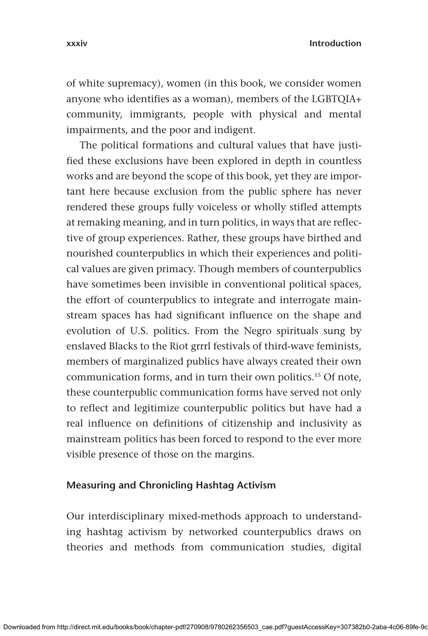**xxxiv Introduction**

of white supremacy), women (in this book, we consider women anyone who identifies as a woman), members of the LGBTQIA+ community, immigrants, people with physical and mental impairments, and the poor and indigent.

The political formations and cultural values that have justified these exclusions have been explored in depth in countless works and are beyond the scope of this book, yet they are important here because exclusion from the public sphere has never rendered these groups fully voiceless or wholly stifled attempts at remaking meaning, and in turn politics, in ways that are reflective of group experiences. Rather, these groups have birthed and nourished counterpublics in which their experiences and political values are given primacy. Though members of counterpublics have sometimes been invisible in conventional political spaces, the effort of counterpublics to integrate and interrogate mainstream spaces has had significant influence on the shape and evolution of U.S. politics. From the Negro spirituals sung by enslaved Blacks to the Riot grrrl festivals of third-wave feminists, members of marginalized publics have always created their own communication forms, and in turn their own politics.15 Of note, these counterpublic communication forms have served not only to reflect and legitimize counterpublic politics but have had a real influence on definitions of citizenship and inclusivity as mainstream politics has been forced to respond to the ever more visible presence of those on the margins.

## **Measuring and Chronicling Hashtag Activism**

Our interdisciplinary mixed-methods approach to understanding hashtag activism by networked counterpublics draws on theories and methods from communication studies, digital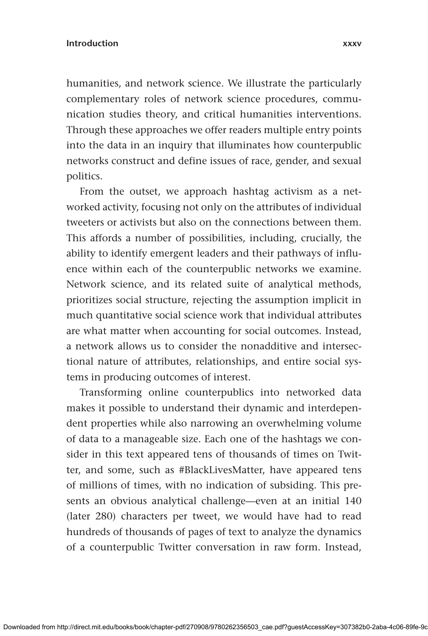#### **Introduction xxxv**

humanities, and network science. We illustrate the particularly complementary roles of network science procedures, communication studies theory, and critical humanities interventions. Through these approaches we offer readers multiple entry points into the data in an inquiry that illuminates how counterpublic networks construct and define issues of race, gender, and sexual politics.

From the outset, we approach hashtag activism as a networked activity, focusing not only on the attributes of individual tweeters or activists but also on the connections between them. This affords a number of possibilities, including, crucially, the ability to identify emergent leaders and their pathways of influence within each of the counterpublic networks we examine. Network science, and its related suite of analytical methods, prioritizes social structure, rejecting the assumption implicit in much quantitative social science work that individual attributes are what matter when accounting for social outcomes. Instead, a network allows us to consider the nonadditive and intersectional nature of attributes, relationships, and entire social systems in producing outcomes of interest.

Transforming online counterpublics into networked data makes it possible to understand their dynamic and interdependent properties while also narrowing an overwhelming volume of data to a manageable size. Each one of the hashtags we consider in this text appeared tens of thousands of times on Twitter, and some, such as #BlackLivesMatter, have appeared tens of millions of times, with no indication of subsiding. This presents an obvious analytical challenge—even at an initial 140 (later 280) characters per tweet, we would have had to read hundreds of thousands of pages of text to analyze the dynamics of a counterpublic Twitter conversation in raw form. Instead,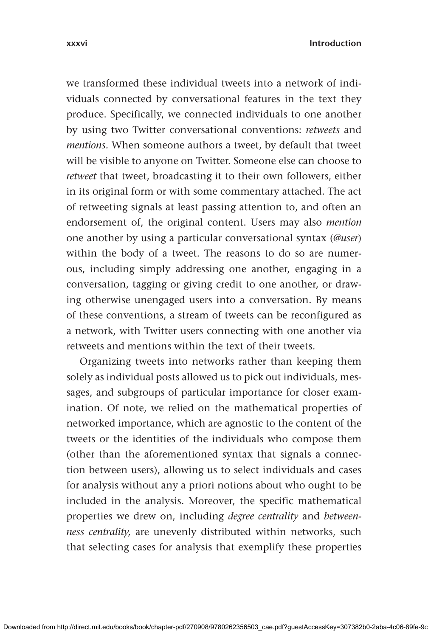**xxxvi Introduction**

we transformed these individual tweets into a network of individuals connected by conversational features in the text they produce. Specifically, we connected individuals to one another by using two Twitter conversational conventions: *retweets* and *mentions.* When someone authors a tweet, by default that tweet will be visible to anyone on Twitter. Someone else can choose to *retweet* that tweet, broadcasting it to their own followers, either in its original form or with some commentary attached. The act of retweeting signals at least passing attention to, and often an endorsement of, the original content. Users may also *mention* one another by using a particular conversational syntax (*@user*) within the body of a tweet. The reasons to do so are numerous, including simply addressing one another, engaging in a conversation, tagging or giving credit to one another, or drawing otherwise unengaged users into a conversation. By means of these conventions, a stream of tweets can be reconfigured as a network, with Twitter users connecting with one another via retweets and mentions within the text of their tweets.

Organizing tweets into networks rather than keeping them solely as individual posts allowed us to pick out individuals, messages, and subgroups of particular importance for closer examination. Of note, we relied on the mathematical properties of networked importance, which are agnostic to the content of the tweets or the identities of the individuals who compose them (other than the aforementioned syntax that signals a connection between users), allowing us to select individuals and cases for analysis without any a priori notions about who ought to be included in the analysis. Moreover, the specific mathematical properties we drew on, including *degree centrality* and *betweenness centrality,* are unevenly distributed within networks, such that selecting cases for analysis that exemplify these properties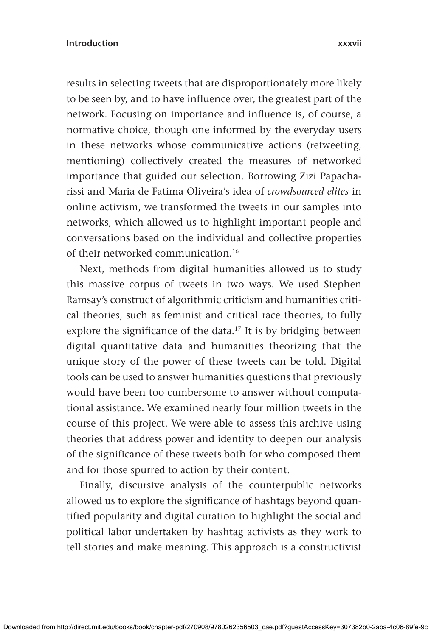results in selecting tweets that are disproportionately more likely to be seen by, and to have influence over, the greatest part of the network. Focusing on importance and influence is, of course, a normative choice, though one informed by the everyday users in these networks whose communicative actions (retweeting, mentioning) collectively created the measures of networked importance that guided our selection. Borrowing Zizi Papacharissi and Maria de Fatima Oliveira's idea of *crowdsourced elites* in online activism, we transformed the tweets in our samples into networks, which allowed us to highlight important people and conversations based on the individual and collective properties of their networked communication.16

Next, methods from digital humanities allowed us to study this massive corpus of tweets in two ways. We used Stephen Ramsay's construct of algorithmic criticism and humanities critical theories, such as feminist and critical race theories, to fully explore the significance of the data.<sup>17</sup> It is by bridging between digital quantitative data and humanities theorizing that the unique story of the power of these tweets can be told. Digital tools can be used to answer humanities questions that previously would have been too cumbersome to answer without computational assistance. We examined nearly four million tweets in the course of this project. We were able to assess this archive using theories that address power and identity to deepen our analysis of the significance of these tweets both for who composed them and for those spurred to action by their content.

Finally, discursive analysis of the counterpublic networks allowed us to explore the significance of hashtags beyond quantified popularity and digital curation to highlight the social and political labor undertaken by hashtag activists as they work to tell stories and make meaning. This approach is a constructivist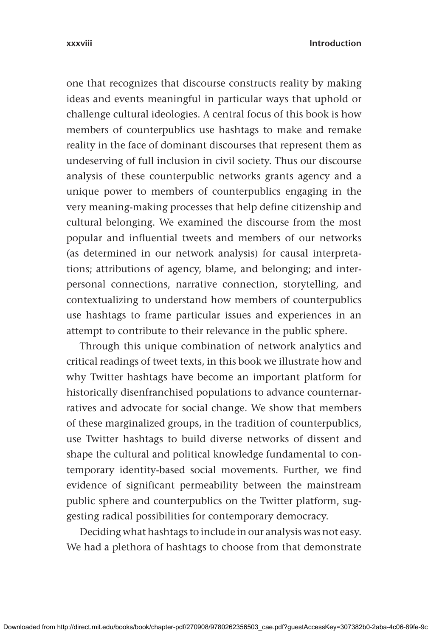**xxxviii Introduction**

one that recognizes that discourse constructs reality by making ideas and events meaningful in particular ways that uphold or challenge cultural ideologies. A central focus of this book is how members of counterpublics use hashtags to make and remake reality in the face of dominant discourses that represent them as undeserving of full inclusion in civil society. Thus our discourse analysis of these counterpublic networks grants agency and a unique power to members of counterpublics engaging in the very meaning-making processes that help define citizenship and cultural belonging. We examined the discourse from the most popular and influential tweets and members of our networks (as determined in our network analysis) for causal interpretations; attributions of agency, blame, and belonging; and interpersonal connections, narrative connection, storytelling, and contextualizing to understand how members of counterpublics use hashtags to frame particular issues and experiences in an attempt to contribute to their relevance in the public sphere.

Through this unique combination of network analytics and critical readings of tweet texts, in this book we illustrate how and why Twitter hashtags have become an important platform for historically disenfranchised populations to advance counternarratives and advocate for social change. We show that members of these marginalized groups, in the tradition of counterpublics, use Twitter hashtags to build diverse networks of dissent and shape the cultural and political knowledge fundamental to contemporary identity-based social movements. Further, we find evidence of significant permeability between the mainstream public sphere and counterpublics on the Twitter platform, suggesting radical possibilities for contemporary democracy.

Deciding what hashtags to include in our analysis was not easy. We had a plethora of hashtags to choose from that demonstrate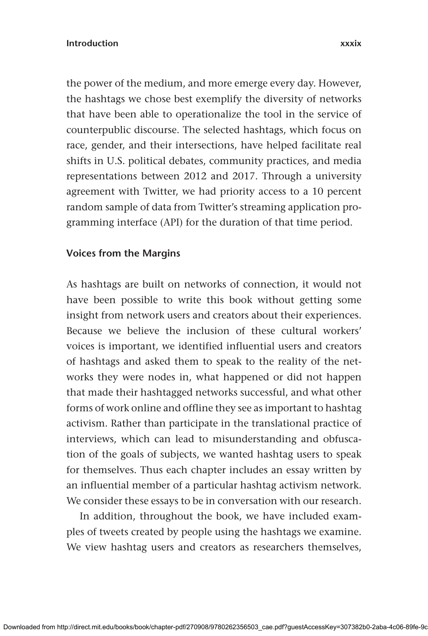#### **Introduction xxxix**

the power of the medium, and more emerge every day. However, the hashtags we chose best exemplify the diversity of networks that have been able to operationalize the tool in the service of counterpublic discourse. The selected hashtags, which focus on race, gender, and their intersections, have helped facilitate real shifts in U.S. political debates, community practices, and media representations between 2012 and 2017. Through a university agreement with Twitter, we had priority access to a 10 percent random sample of data from Twitter's streaming application programming interface (API) for the duration of that time period.

## **Voices from the Margins**

As hashtags are built on networks of connection, it would not have been possible to write this book without getting some insight from network users and creators about their experiences. Because we believe the inclusion of these cultural workers' voices is important, we identified influential users and creators of hashtags and asked them to speak to the reality of the networks they were nodes in, what happened or did not happen that made their hashtagged networks successful, and what other forms of work online and offline they see as important to hashtag activism. Rather than participate in the translational practice of interviews, which can lead to misunderstanding and obfuscation of the goals of subjects, we wanted hashtag users to speak for themselves. Thus each chapter includes an essay written by an influential member of a particular hashtag activism network. We consider these essays to be in conversation with our research.

In addition, throughout the book, we have included examples of tweets created by people using the hashtags we examine. We view hashtag users and creators as researchers themselves,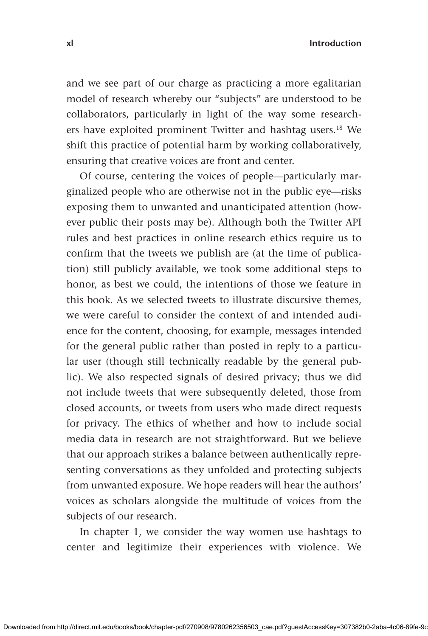**xl Introduction**

and we see part of our charge as practicing a more egalitarian model of research whereby our "subjects" are understood to be collaborators, particularly in light of the way some researchers have exploited prominent Twitter and hashtag users.18 We shift this practice of potential harm by working collaboratively, ensuring that creative voices are front and center.

Of course, centering the voices of people—particularly marginalized people who are otherwise not in the public eye—risks exposing them to unwanted and unanticipated attention (however public their posts may be). Although both the Twitter API rules and best practices in online research ethics require us to confirm that the tweets we publish are (at the time of publication) still publicly available, we took some additional steps to honor, as best we could, the intentions of those we feature in this book. As we selected tweets to illustrate discursive themes, we were careful to consider the context of and intended audience for the content, choosing, for example, messages intended for the general public rather than posted in reply to a particular user (though still technically readable by the general public). We also respected signals of desired privacy; thus we did not include tweets that were subsequently deleted, those from closed accounts, or tweets from users who made direct requests for privacy. The ethics of whether and how to include social media data in research are not straightforward. But we believe that our approach strikes a balance between authentically representing conversations as they unfolded and protecting subjects from unwanted exposure. We hope readers will hear the authors' voices as scholars alongside the multitude of voices from the subjects of our research.

In chapter 1, we consider the way women use hashtags to center and legitimize their experiences with violence. We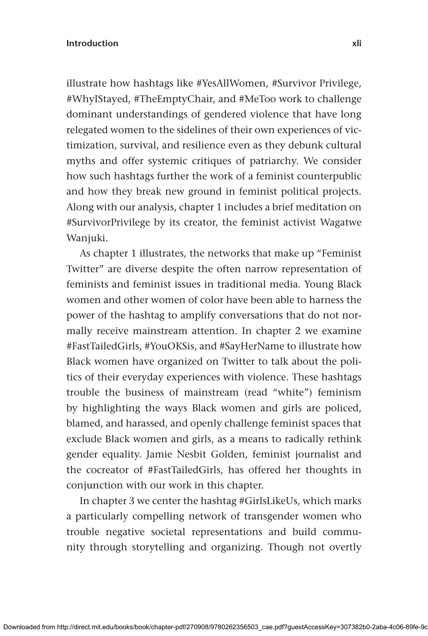illustrate how hashtags like #YesAllWomen, #Survivor Privilege, #WhyIStayed, #TheEmptyChair, and #MeToo work to challenge dominant understandings of gendered violence that have long relegated women to the sidelines of their own experiences of victimization, survival, and resilience even as they debunk cultural myths and offer systemic critiques of patriarchy. We consider how such hashtags further the work of a feminist counterpublic and how they break new ground in feminist political projects. Along with our analysis, chapter 1 includes a brief meditation on #SurvivorPrivilege by its creator, the feminist activist Wagatwe Wanjuki.

As chapter 1 illustrates, the networks that make up "Feminist Twitter" are diverse despite the often narrow representation of feminists and feminist issues in traditional media. Young Black women and other women of color have been able to harness the power of the hashtag to amplify conversations that do not normally receive mainstream attention. In chapter 2 we examine #FastTailedGirls, #YouOKSis, and #SayHerName to illustrate how Black women have organized on Twitter to talk about the politics of their everyday experiences with violence. These hashtags trouble the business of mainstream (read "white") feminism by highlighting the ways Black women and girls are policed, blamed, and harassed, and openly challenge feminist spaces that exclude Black women and girls, as a means to radically rethink gender equality. Jamie Nesbit Golden, feminist journalist and the cocreator of #FastTailedGirls, has offered her thoughts in conjunction with our work in this chapter.

In chapter 3 we center the hashtag #GirlsLikeUs, which marks a particularly compelling network of transgender women who trouble negative societal representations and build community through storytelling and organizing. Though not overtly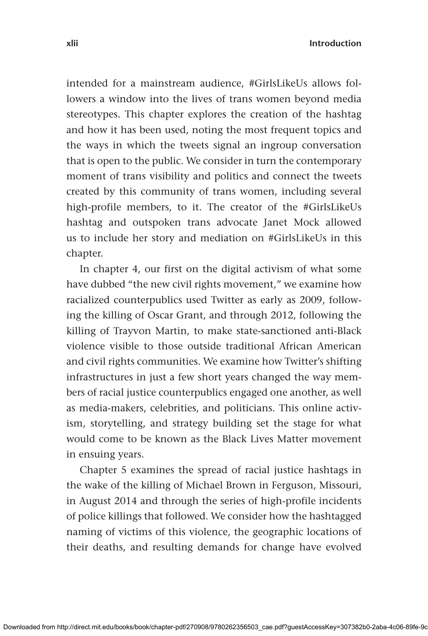**xlii Introduction**

intended for a mainstream audience, #GirlsLikeUs allows followers a window into the lives of trans women beyond media stereotypes. This chapter explores the creation of the hashtag and how it has been used, noting the most frequent topics and the ways in which the tweets signal an ingroup conversation that is open to the public. We consider in turn the contemporary moment of trans visibility and politics and connect the tweets created by this community of trans women, including several high-profile members, to it. The creator of the #GirlsLikeUs hashtag and outspoken trans advocate Janet Mock allowed us to include her story and mediation on #GirlsLikeUs in this chapter.

In chapter 4, our first on the digital activism of what some have dubbed "the new civil rights movement," we examine how racialized counterpublics used Twitter as early as 2009, following the killing of Oscar Grant, and through 2012, following the killing of Trayvon Martin, to make state-sanctioned anti-Black violence visible to those outside traditional African American and civil rights communities. We examine how Twitter's shifting infrastructures in just a few short years changed the way members of racial justice counterpublics engaged one another, as well as media-makers, celebrities, and politicians. This online activism, storytelling, and strategy building set the stage for what would come to be known as the Black Lives Matter movement in ensuing years.

Chapter 5 examines the spread of racial justice hashtags in the wake of the killing of Michael Brown in Ferguson, Missouri, in August 2014 and through the series of high-profile incidents of police killings that followed. We consider how the hashtagged naming of victims of this violence, the geographic locations of their deaths, and resulting demands for change have evolved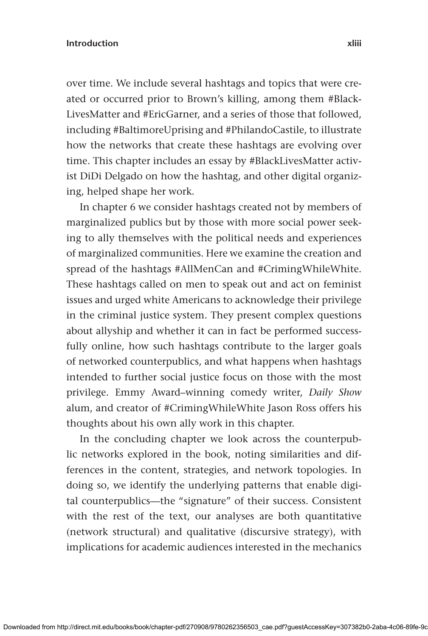#### **Introduction xliii**

over time. We include several hashtags and topics that were created or occurred prior to Brown's killing, among them #Black-LivesMatter and #EricGarner, and a series of those that followed, including #BaltimoreUprising and #PhilandoCastile, to illustrate how the networks that create these hashtags are evolving over time. This chapter includes an essay by #BlackLivesMatter activist DiDi Delgado on how the hashtag, and other digital organizing, helped shape her work.

In chapter 6 we consider hashtags created not by members of marginalized publics but by those with more social power seeking to ally themselves with the political needs and experiences of marginalized communities. Here we examine the creation and spread of the hashtags #AllMenCan and #CrimingWhileWhite. These hashtags called on men to speak out and act on feminist issues and urged white Americans to acknowledge their privilege in the criminal justice system. They present complex questions about allyship and whether it can in fact be performed successfully online, how such hashtags contribute to the larger goals of networked counterpublics, and what happens when hashtags intended to further social justice focus on those with the most privilege. Emmy Award–winning comedy writer, *Daily Show* alum, and creator of #CrimingWhileWhite Jason Ross offers his thoughts about his own ally work in this chapter.

In the concluding chapter we look across the counterpublic networks explored in the book, noting similarities and differences in the content, strategies, and network topologies. In doing so, we identify the underlying patterns that enable digital counterpublics—the "signature" of their success. Consistent with the rest of the text, our analyses are both quantitative (network structural) and qualitative (discursive strategy), with implications for academic audiences interested in the mechanics